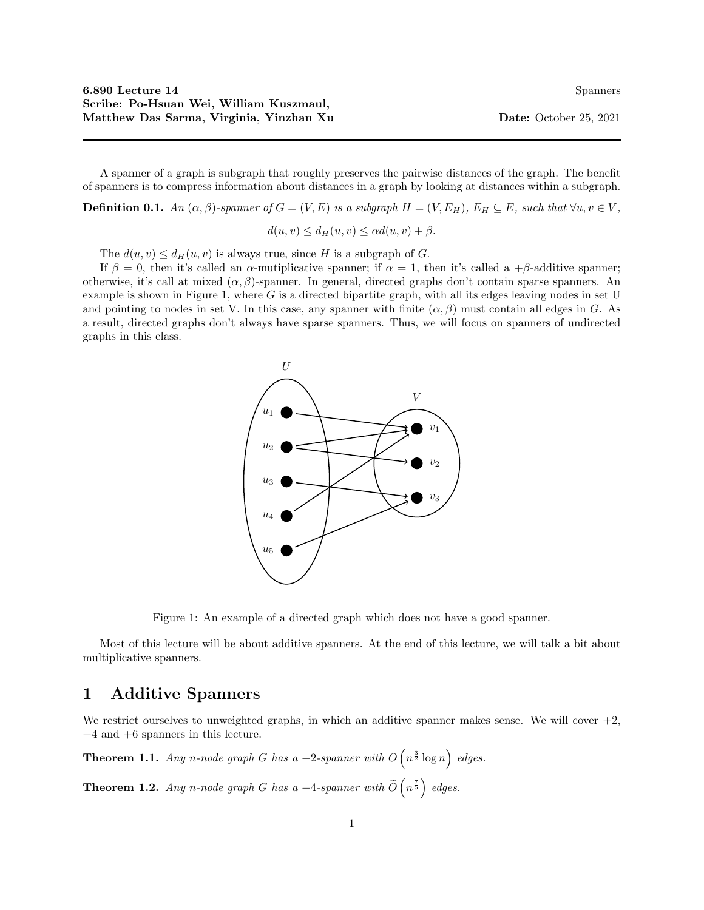A spanner of a graph is subgraph that roughly preserves the pairwise distances of the graph. The benefit of spanners is to compress information about distances in a graph by looking at distances within a subgraph.

**Definition 0.1.** An  $(\alpha, \beta)$ -spanner of  $G = (V, E)$  is a subgraph  $H = (V, E_H)$ ,  $E_H \subseteq E$ , such that  $\forall u, v \in V$ ,

 $d(u, v) \leq d_H(u, v) \leq \alpha d(u, v) + \beta.$ 

The  $d(u, v) \leq d_H(u, v)$  is always true, since H is a subgraph of G.

If  $\beta = 0$ , then it's called an  $\alpha$ -mutiplicative spanner; if  $\alpha = 1$ , then it's called a +β-additive spanner; otherwise, it's call at mixed  $(\alpha, \beta)$ -spanner. In general, directed graphs don't contain sparse spanners. An example is shown in Figure 1, where G is a directed bipartite graph, with all its edges leaving nodes in set U and pointing to nodes in set V. In this case, any spanner with finite  $(\alpha, \beta)$  must contain all edges in G. As a result, directed graphs don't always have sparse spanners. Thus, we will focus on spanners of undirected graphs in this class.



Figure 1: An example of a directed graph which does not have a good spanner.

Most of this lecture will be about additive spanners. At the end of this lecture, we will talk a bit about multiplicative spanners.

## 1 Additive Spanners

We restrict ourselves to unweighted graphs, in which an additive spanner makes sense. We will cover  $+2$ , +4 and +6 spanners in this lecture.

**Theorem 1.1.** Any n-node graph G has a +2-spanner with  $O(n^{\frac{3}{2}} \log n)$  edges.

**Theorem 1.2.** Any n-node graph G has a  $+4$ -spanner with  $\widetilde{O}\left(n^{\frac{7}{5}}\right)$  edges.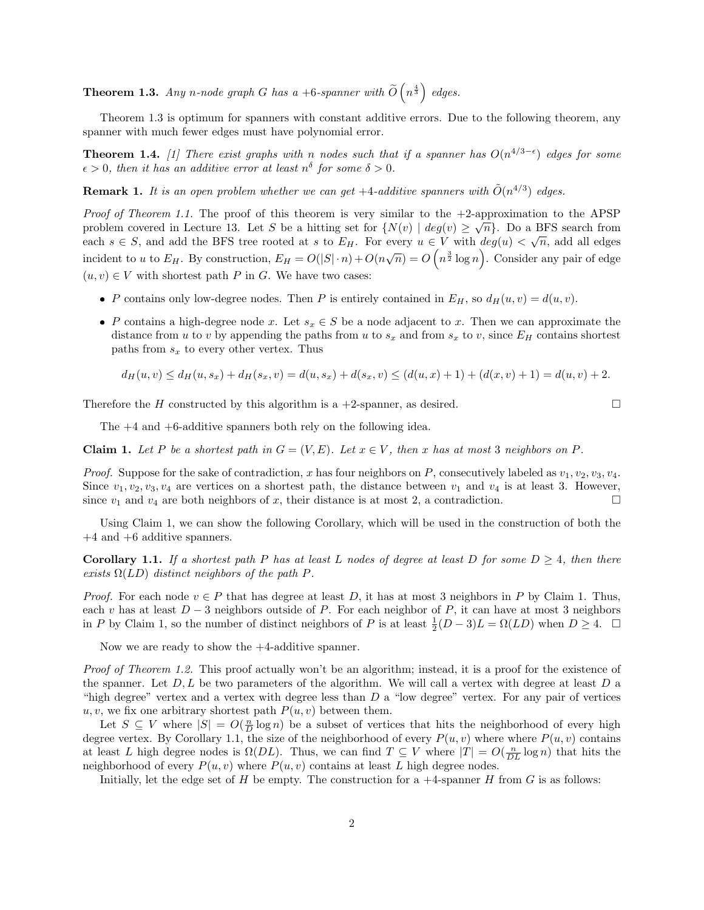**Theorem 1.3.** Any n-node graph G has a +6-spanner with  $\widetilde{O}\left(n^{\frac{4}{3}}\right)$  edges.

Theorem 1.3 is optimum for spanners with constant additive errors. Due to the following theorem, any spanner with much fewer edges must have polynomial error.

**Theorem 1.4.** [1] There exist graphs with n nodes such that if a spanner has  $O(n^{4/3-\epsilon})$  edges for some  $\epsilon > 0$ , then it has an additive error at least  $n^{\delta}$  for some  $\delta > 0$ .

**Remark 1.** It is an open problem whether we can get  $+4$ -additive spanners with  $\tilde{O}(n^{4/3})$  edges.

*Proof of Theorem 1.1.* The proof of this theorem is very similar to the  $+2$ -approximation to the APSP problem covered in Lecture 13. Let S be a hitting set for  $\{N(v) \mid deg(v) \geq \sqrt{n}\}\)$ . Do a BFS search from each  $s \in S$ , and add the BFS tree rooted at s to  $E_H$ . For every  $u \in V$  with  $deg(u) < \sqrt{n}$ , add all edges incident to u to  $E_H$ . By construction,  $E_H = O(|S| \cdot n) + O(n\sqrt{n}) = O\left(n^{\frac{3}{2}}\log n\right)$ . Consider any pair of edge  $(u, v) \in V$  with shortest path P in G. We have two cases:

- P contains only low-degree nodes. Then P is entirely contained in  $E_H$ , so  $d_H(u, v) = d(u, v)$ .
- P contains a high-degree node x. Let  $s_x \in S$  be a node adjacent to x. Then we can approximate the distance from u to v by appending the paths from u to  $s_x$  and from  $s_x$  to v, since  $E_H$  contains shortest paths from  $s_x$  to every other vertex. Thus

$$
d_H(u, v) \le d_H(u, s_x) + d_H(s_x, v) = d(u, s_x) + d(s_x, v) \le (d(u, x) + 1) + (d(x, v) + 1) = d(u, v) + 2.
$$

Therefore the H constructed by this algorithm is a  $+2$ -spanner, as desired.

The +4 and +6-additive spanners both rely on the following idea.

Claim 1. Let P be a shortest path in  $G = (V, E)$ . Let  $x \in V$ , then x has at most 3 neighbors on P.

*Proof.* Suppose for the sake of contradiction, x has four neighbors on P, consecutively labeled as  $v_1, v_2, v_3, v_4$ . Since  $v_1, v_2, v_3, v_4$  are vertices on a shortest path, the distance between  $v_1$  and  $v_4$  is at least 3. However, since  $v_1$  and  $v_4$  are both neighbors of x, their distance is at most 2, a contradiction.

Using Claim 1, we can show the following Corollary, which will be used in the construction of both the +4 and +6 additive spanners.

**Corollary 1.1.** If a shortest path P has at least L nodes of degree at least D for some  $D \geq 4$ , then there exists  $\Omega(LD)$  distinct neighbors of the path P.

*Proof.* For each node  $v \in P$  that has degree at least D, it has at most 3 neighbors in P by Claim 1. Thus, each v has at least  $D-3$  neighbors outside of P. For each neighbor of P, it can have at most 3 neighbors in P by Claim 1, so the number of distinct neighbors of P is at least  $\frac{1}{2}(D-3)L = \Omega(LD)$  when  $D \geq 4$ .  $\Box$ 

Now we are ready to show the +4-additive spanner.

Proof of Theorem 1.2. This proof actually won't be an algorithm; instead, it is a proof for the existence of the spanner. Let  $D, L$  be two parameters of the algorithm. We will call a vertex with degree at least  $D$  a "high degree" vertex and a vertex with degree less than D a "low degree" vertex. For any pair of vertices  $u, v$ , we fix one arbitrary shortest path  $P(u, v)$  between them.

Let  $S \subseteq V$  where  $|S| = O(\frac{n}{D} \log n)$  be a subset of vertices that hits the neighborhood of every high degree vertex. By Corollary 1.1, the size of the neighborhood of every  $P(u, v)$  where where  $P(u, v)$  contains at least L high degree nodes is  $\Omega(DL)$ . Thus, we can find  $T \subseteq V$  where  $|T| = O(\frac{n}{DL} \log n)$  that hits the neighborhood of every  $P(u, v)$  where  $P(u, v)$  contains at least L high degree nodes.

Initially, let the edge set of H be empty. The construction for a  $+4$ -spanner H from G is as follows: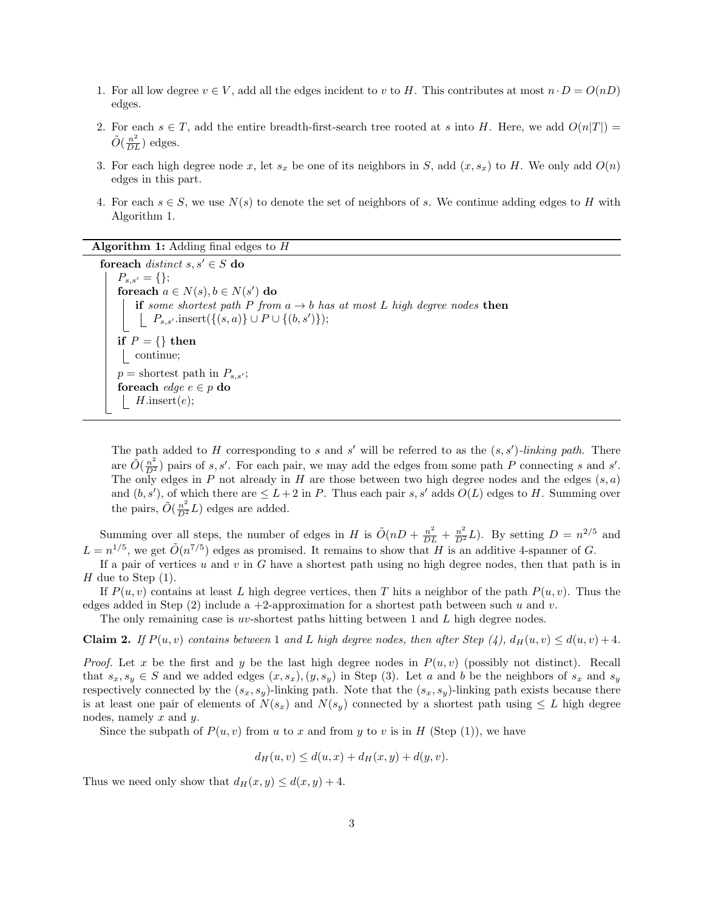- 1. For all low degree  $v \in V$ , add all the edges incident to v to H. This contributes at most  $n \cdot D = O(nD)$ edges.
- 2. For each  $s \in T$ , add the entire breadth-first-search tree rooted at s into H. Here, we add  $O(n|T|)$  $\tilde{O}(\frac{n^2}{DL})$  edges.
- 3. For each high degree node x, let  $s_x$  be one of its neighbors in S, add  $(x, s_x)$  to H. We only add  $O(n)$ edges in this part.
- 4. For each  $s \in S$ , we use  $N(s)$  to denote the set of neighbors of s. We continue adding edges to H with Algorithm 1.

Algorithm 1: Adding final edges to H

foreach distinct  $s, s' \in S$  do  $P_{s,s'} = \{\};$ foreach  $a \in N(s)$ ,  $b \in N(s')$  do if some shortest path P from  $a \rightarrow b$  has at most L high degree nodes then  $P_{s,s'}$ .insert $(\{(s,a)\} \cup P \cup \{(b,s')\});$ if  $P = \{\}$  then continue;  $p =$  shortest path in  $P_{s,s'}$ ; foreach *edge*  $e \in p$  do *H*.insert $(e)$ ;

The path added to H corresponding to s and s' will be referred to as the  $(s, s')$ -linking path. There are  $\tilde{O}(\frac{n^2}{D^2})$  pairs of s, s'. For each pair, we may add the edges from some path P connecting s and s'. The only edges in P not already in H are those between two high degree nodes and the edges  $(s, a)$ and  $(b, s')$ , of which there are  $\leq L+2$  in P. Thus each pair s, s' adds  $O(L)$  edges to H. Summing over the pairs,  $\tilde{O}(\frac{n^2}{D^2}L)$  edges are added.

Summing over all steps, the number of edges in H is  $\tilde{O}(nD + \frac{n^2}{DL} + \frac{n^2}{D^2}L)$ . By setting  $D = n^{2/5}$  and  $L = n^{1/5}$ , we get  $\tilde{O}(n^{7/5})$  edges as promised. It remains to show that H is an additive 4-spanner of G.

If a pair of vertices  $u$  and  $v$  in  $G$  have a shortest path using no high degree nodes, then that path is in H due to Step  $(1)$ .

If  $P(u, v)$  contains at least L high degree vertices, then T hits a neighbor of the path  $P(u, v)$ . Thus the edges added in Step (2) include a +2-approximation for a shortest path between such u and v.

The only remaining case is uv-shortest paths hitting between 1 and L high degree nodes.

**Claim 2.** If  $P(u, v)$  contains between 1 and L high degree nodes, then after Step (4),  $d_H(u, v) \leq d(u, v) + 4$ .

*Proof.* Let x be the first and y be the last high degree nodes in  $P(u, v)$  (possibly not distinct). Recall that  $s_x, s_y \in S$  and we added edges  $(x, s_x), (y, s_y)$  in Step (3). Let a and b be the neighbors of  $s_x$  and  $s_y$ respectively connected by the  $(s_x, s_y)$ -linking path. Note that the  $(s_x, s_y)$ -linking path exists because there is at least one pair of elements of  $N(s_x)$  and  $N(s_y)$  connected by a shortest path using  $\leq L$  high degree nodes, namely x and y.

Since the subpath of  $P(u, v)$  from u to x and from y to v is in H (Step (1)), we have

$$
d_H(u, v) \le d(u, x) + d_H(x, y) + d(y, v).
$$

Thus we need only show that  $d_H(x, y) \leq d(x, y) + 4$ .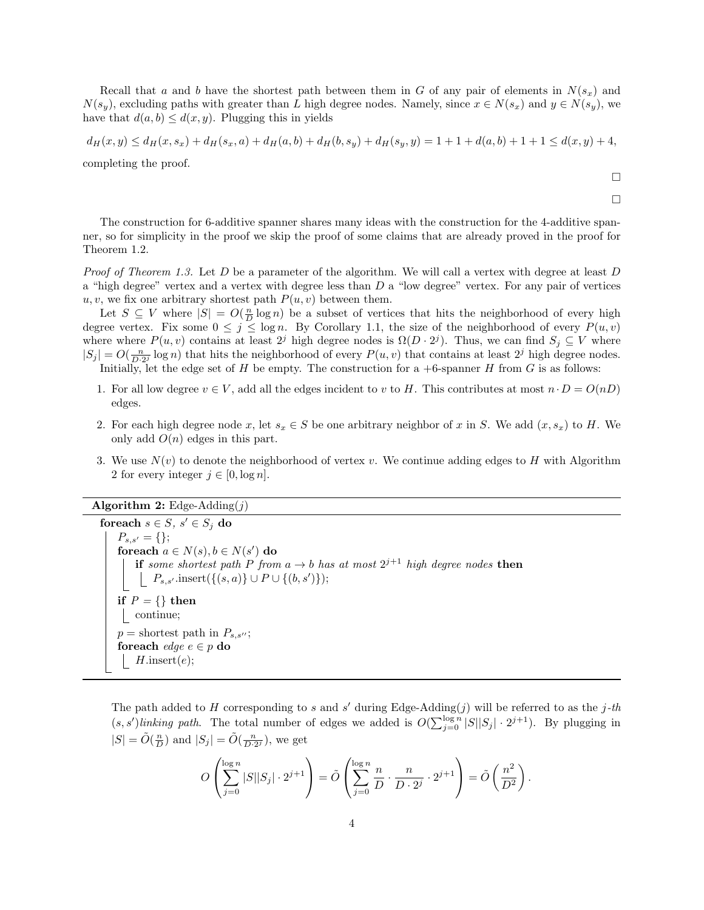Recall that a and b have the shortest path between them in G of any pair of elements in  $N(s_x)$  and  $N(s_y)$ , excluding paths with greater than L high degree nodes. Namely, since  $x \in N(s_x)$  and  $y \in N(s_y)$ , we have that  $d(a, b) \leq d(x, y)$ . Plugging this in yields

$$
d_H(x,y) \le d_H(x,s_x) + d_H(s_x,a) + d_H(a,b) + d_H(b,s_y) + d_H(s_y,y) = 1 + 1 + d(a,b) + 1 + 1 \le d(x,y) + 4,
$$

completing the proof.

Theorem 1.2.

 $\Box$  $\Box$ 

The construction for 6-additive spanner shares many ideas with the construction for the 4-additive spanner, so for simplicity in the proof we skip the proof of some claims that are already proved in the proof for

Proof of Theorem 1.3. Let D be a parameter of the algorithm. We will call a vertex with degree at least D a "high degree" vertex and a vertex with degree less than  $D$  a "low degree" vertex. For any pair of vertices u, v, we fix one arbitrary shortest path  $P(u, v)$  between them.

Let  $S \subseteq V$  where  $|S| = O(\frac{n}{D} \log n)$  be a subset of vertices that hits the neighborhood of every high degree vertex. Fix some  $0 \leq j \leq \log n$ . By Corollary 1.1, the size of the neighborhood of every  $P(u, v)$ where where  $P(u, v)$  contains at least  $2^j$  high degree nodes is  $\Omega(D \cdot 2^j)$ . Thus, we can find  $S_j \subseteq V$  where  $|S_j| = O(\frac{n}{D \cdot 2^j} \log n)$  that hits the neighborhood of every  $P(u, v)$  that contains at least  $2^j$  high degree nodes. Initially, let the edge set of H be empty. The construction for a  $+6$ -spanner H from G is as follows:

1. For all low degree  $v \in V$ , add all the edges incident to v to H. This contributes at most  $n \cdot D = O(nD)$ edges.

- 2. For each high degree node x, let  $s_x \in S$  be one arbitrary neighbor of x in S. We add  $(x, s_x)$  to H. We only add  $O(n)$  edges in this part.
- 3. We use  $N(v)$  to denote the neighborhood of vertex v. We continue adding edges to H with Algorithm 2 for every integer  $j \in [0, \log n]$ .

Algorithm 2: Edge-Adding $(j)$ 

foreach  $s \in S$ ,  $s' \in S_j$  do  $P_{s,s'} = \{\};$ foreach  $a \in N(s)$ ,  $b \in N(s')$  do **if** some shortest path P from  $a \to b$  has at most  $2^{j+1}$  high degree nodes then  $P_{s,s'}$ .insert $(\{(s,a)\} \cup P \cup \{(b,s')\});$ if  $P = \{\}$  then continue;  $p =$  shortest path in  $P_{s,s''};$ foreach *edge*  $e \in p$  do  $H.\text{insert}(e);$ 

The path added to H corresponding to s and s' during Edge-Adding $(j)$  will be referred to as the j-th  $(s, s')$ linking path. The total number of edges we added is  $O(\sum_{j=0}^{\log n} |S| |S_j| \cdot 2^{j+1})$ . By plugging in  $|S| = \tilde{O}(\frac{n}{D})$  and  $|S_j| = \tilde{O}(\frac{n}{D \cdot 2^j})$ , we get

$$
O\left(\sum_{j=0}^{\log n} |S| |S_j| \cdot 2^{j+1}\right) = \tilde{O}\left(\sum_{j=0}^{\log n} \frac{n}{D} \cdot \frac{n}{D \cdot 2^j} \cdot 2^{j+1}\right) = \tilde{O}\left(\frac{n^2}{D^2}\right).
$$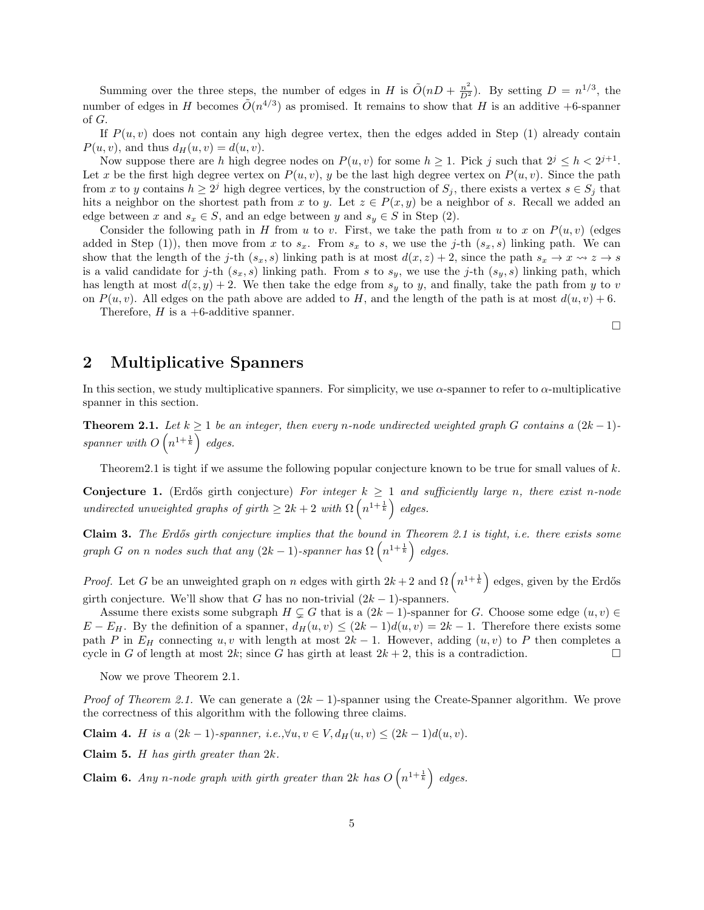Summing over the three steps, the number of edges in H is  $\tilde{O}(nD + \frac{n^2}{D^2})$ . By setting  $D = n^{1/3}$ , the number of edges in H becomes  $\tilde{O}(n^{4/3})$  as promised. It remains to show that H is an additive +6-spanner of G.

If  $P(u, v)$  does not contain any high degree vertex, then the edges added in Step (1) already contain  $P(u, v)$ , and thus  $d_H(u, v) = d(u, v)$ .

Now suppose there are h high degree nodes on  $P(u, v)$  for some  $h \geq 1$ . Pick j such that  $2^{j} \leq h < 2^{j+1}$ . Let x be the first high degree vertex on  $P(u, v)$ , y be the last high degree vertex on  $P(u, v)$ . Since the path from x to y contains  $h \geq 2^j$  high degree vertices, by the construction of  $S_j$ , there exists a vertex  $s \in S_j$  that hits a neighbor on the shortest path from x to y. Let  $z \in P(x, y)$  be a neighbor of s. Recall we added an edge between x and  $s_x \in S$ , and an edge between y and  $s_y \in S$  in Step (2).

Consider the following path in H from u to v. First, we take the path from u to x on  $P(u, v)$  (edges added in Step (1)), then move from x to  $s_x$ . From  $s_x$  to s, we use the j-th  $(s_x, s)$  linking path. We can show that the length of the j-th  $(s_x, s)$  linking path is at most  $d(x, z) + 2$ , since the path  $s_x \to x \rightsquigarrow z \to s$ is a valid candidate for j-th  $(s_x, s)$  linking path. From s to  $s_y$ , we use the j-th  $(s_y, s)$  linking path, which has length at most  $d(z, y) + 2$ . We then take the edge from  $s_y$  to y, and finally, take the path from y to v on  $P(u, v)$ . All edges on the path above are added to H, and the length of the path is at most  $d(u, v) + 6$ .

Therefore,  $H$  is a +6-additive spanner.

## 2 Multiplicative Spanners

In this section, we study multiplicative spanners. For simplicity, we use  $\alpha$ -spanner to refer to  $\alpha$ -multiplicative spanner in this section.

**Theorem 2.1.** Let  $k \geq 1$  be an integer, then every n-node undirected weighted graph G contains a  $(2k-1)$ spanner with  $O(n^{1+\frac{1}{k}})$  edges.

Theorem 2.1 is tight if we assume the following popular conjecture known to be true for small values of  $k$ .

Conjecture 1. (Erdős girth conjecture) For integer  $k \ge 1$  and sufficiently large n, there exist n-node undirected unweighted graphs of girth  $\geq 2k+2$  with  $\Omega\left(n^{1+\frac{1}{k}}\right)$  edges.

Claim 3. The Erdős girth conjecture implies that the bound in Theorem 2.1 is tight, i.e. there exists some graph G on n nodes such that any  $(2k-1)$ -spanner has  $\Omega\left(n^{1+\frac{1}{k}}\right)$  edges.

*Proof.* Let G be an unweighted graph on n edges with girth  $2k+2$  and  $\Omega\left(n^{1+\frac{1}{k}}\right)$  edges, given by the Erdős girth conjecture. We'll show that G has no non-trivial  $(2k-1)$ -spanners.

Assume there exists some subgraph  $H \subsetneq G$  that is a  $(2k-1)$ -spanner for G. Choose some edge  $(u, v) \in$  $E - E_H$ . By the definition of a spanner,  $d_H(u, v) \le (2k - 1)d(u, v) = 2k - 1$ . Therefore there exists some path P in  $E_H$  connecting u, v with length at most  $2k - 1$ . However, adding  $(u, v)$  to P then completes a cycle in G of length at most  $2k$ ; since G has girth at least  $2k + 2$ , this is a contradiction.

Now we prove Theorem 2.1.

*Proof of Theorem 2.1.* We can generate a  $(2k - 1)$ -spanner using the Create-Spanner algorithm. We prove the correctness of this algorithm with the following three claims.

Claim 4. *H* is a  $(2k-1)$ -spanner, i.e.,∀u,  $v \in V$ ,  $d_H(u, v)$  ≤  $(2k-1)d(u, v)$ .

**Claim 5.** H has girth greater than  $2k$ .

**Claim 6.** Any n-node graph with girth greater than 2k has  $O(n^{1+\frac{1}{k}})$  edges.

 $\Box$